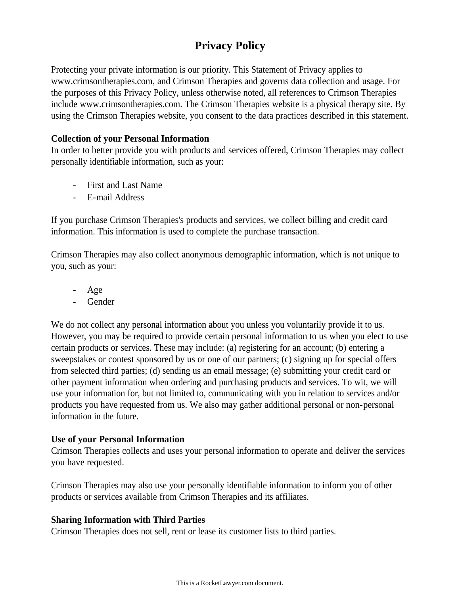# **Privacy Policy**

Protecting your private information is our priority. This Statement of Privacy applies to www.crimsontherapies.com, and Crimson Therapies and governs data collection and usage. For the purposes of this Privacy Policy, unless otherwise noted, all references to Crimson Therapies include www.crimsontherapies.com. The Crimson Therapies website is a physical therapy site. By using the Crimson Therapies website, you consent to the data practices described in this statement.

## **Collection of your Personal Information**

In order to better provide you with products and services offered, Crimson Therapies may collect personally identifiable information, such as your:

- First and Last Name
- E-mail Address

If you purchase Crimson Therapies's products and services, we collect billing and credit card information. This information is used to complete the purchase transaction.

Crimson Therapies may also collect anonymous demographic information, which is not unique to you, such as your:

- Age
- Gender

We do not collect any personal information about you unless you voluntarily provide it to us. However, you may be required to provide certain personal information to us when you elect to use certain products or services. These may include: (a) registering for an account; (b) entering a sweepstakes or contest sponsored by us or one of our partners; (c) signing up for special offers from selected third parties; (d) sending us an email message; (e) submitting your credit card or other payment information when ordering and purchasing products and services. To wit, we will use your information for, but not limited to, communicating with you in relation to services and/or products you have requested from us. We also may gather additional personal or non-personal information in the future.

# **Use of your Personal Information**

Crimson Therapies collects and uses your personal information to operate and deliver the services you have requested.

Crimson Therapies may also use your personally identifiable information to inform you of other products or services available from Crimson Therapies and its affiliates.

# **Sharing Information with Third Parties**

Crimson Therapies does not sell, rent or lease its customer lists to third parties.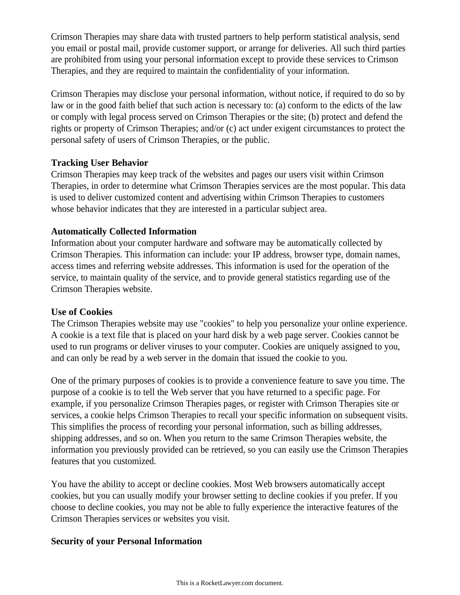Crimson Therapies may share data with trusted partners to help perform statistical analysis, send you email or postal mail, provide customer support, or arrange for deliveries. All such third parties are prohibited from using your personal information except to provide these services to Crimson Therapies, and they are required to maintain the confidentiality of your information.

Crimson Therapies may disclose your personal information, without notice, if required to do so by law or in the good faith belief that such action is necessary to: (a) conform to the edicts of the law or comply with legal process served on Crimson Therapies or the site; (b) protect and defend the rights or property of Crimson Therapies; and/or (c) act under exigent circumstances to protect the personal safety of users of Crimson Therapies, or the public.

### **Tracking User Behavior**

Crimson Therapies may keep track of the websites and pages our users visit within Crimson Therapies, in order to determine what Crimson Therapies services are the most popular. This data is used to deliver customized content and advertising within Crimson Therapies to customers whose behavior indicates that they are interested in a particular subject area.

# **Automatically Collected Information**

Information about your computer hardware and software may be automatically collected by Crimson Therapies. This information can include: your IP address, browser type, domain names, access times and referring website addresses. This information is used for the operation of the service, to maintain quality of the service, and to provide general statistics regarding use of the Crimson Therapies website.

#### **Use of Cookies**

The Crimson Therapies website may use "cookies" to help you personalize your online experience. A cookie is a text file that is placed on your hard disk by a web page server. Cookies cannot be used to run programs or deliver viruses to your computer. Cookies are uniquely assigned to you, and can only be read by a web server in the domain that issued the cookie to you.

One of the primary purposes of cookies is to provide a convenience feature to save you time. The purpose of a cookie is to tell the Web server that you have returned to a specific page. For example, if you personalize Crimson Therapies pages, or register with Crimson Therapies site or services, a cookie helps Crimson Therapies to recall your specific information on subsequent visits. This simplifies the process of recording your personal information, such as billing addresses, shipping addresses, and so on. When you return to the same Crimson Therapies website, the information you previously provided can be retrieved, so you can easily use the Crimson Therapies features that you customized.

You have the ability to accept or decline cookies. Most Web browsers automatically accept cookies, but you can usually modify your browser setting to decline cookies if you prefer. If you choose to decline cookies, you may not be able to fully experience the interactive features of the Crimson Therapies services or websites you visit.

# **Security of your Personal Information**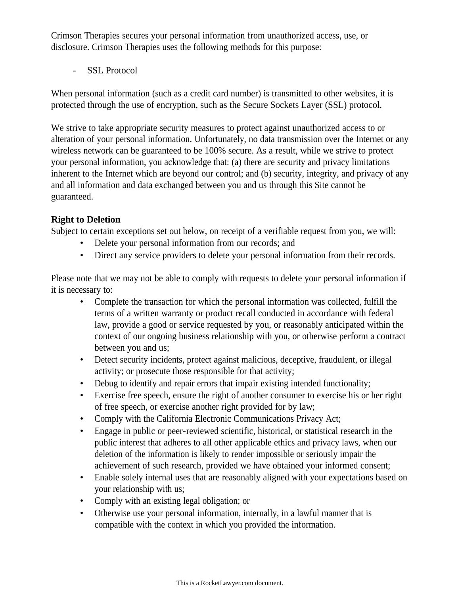Crimson Therapies secures your personal information from unauthorized access, use, or disclosure. Crimson Therapies uses the following methods for this purpose:

- SSL Protocol

When personal information (such as a credit card number) is transmitted to other websites, it is protected through the use of encryption, such as the Secure Sockets Layer (SSL) protocol.

We strive to take appropriate security measures to protect against unauthorized access to or alteration of your personal information. Unfortunately, no data transmission over the Internet or any wireless network can be guaranteed to be 100% secure. As a result, while we strive to protect your personal information, you acknowledge that: (a) there are security and privacy limitations inherent to the Internet which are beyond our control; and (b) security, integrity, and privacy of any and all information and data exchanged between you and us through this Site cannot be guaranteed.

# **Right to Deletion**

Subject to certain exceptions set out below, on receipt of a verifiable request from you, we will:

- Delete your personal information from our records; and
- Direct any service providers to delete your personal information from their records.

Please note that we may not be able to comply with requests to delete your personal information if it is necessary to:

- Complete the transaction for which the personal information was collected, fulfill the terms of a written warranty or product recall conducted in accordance with federal law, provide a good or service requested by you, or reasonably anticipated within the context of our ongoing business relationship with you, or otherwise perform a contract between you and us;
- Detect security incidents, protect against malicious, deceptive, fraudulent, or illegal activity; or prosecute those responsible for that activity;
- Debug to identify and repair errors that impair existing intended functionality;
- Exercise free speech, ensure the right of another consumer to exercise his or her right of free speech, or exercise another right provided for by law;
- Comply with the California Electronic Communications Privacy Act;
- Engage in public or peer-reviewed scientific, historical, or statistical research in the public interest that adheres to all other applicable ethics and privacy laws, when our deletion of the information is likely to render impossible or seriously impair the achievement of such research, provided we have obtained your informed consent;
- Enable solely internal uses that are reasonably aligned with your expectations based on your relationship with us;
- Comply with an existing legal obligation; or
- Otherwise use your personal information, internally, in a lawful manner that is compatible with the context in which you provided the information.